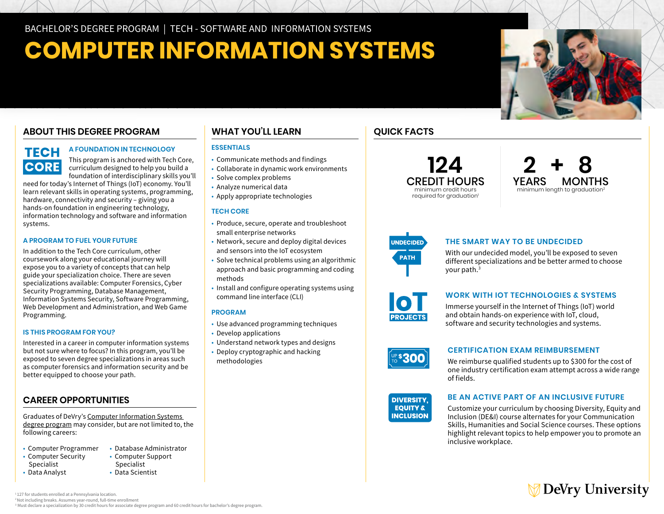# **COMPUTER INFORMATION SYSTEMS**

# **ABOUT THIS DEGREE PROGRAM**

# **TECH CORE**

# **A FOUNDATION IN TECHNOLOGY**

This program is anchored with Tech Core, curriculum designed to help you build a foundation of interdisciplinary skills you'll

need for today's Internet of Things (IoT) economy. You'll learn relevant skills in operating systems, programming, hardware, connectivity and security – giving you a hands-on foundation in engineering technology, information technology and software and information systems.

### **A PROGRAM TO FUEL YOUR FUTURE**

In addition to the Tech Core curriculum, other coursework along your educational journey will expose you to a variety of concepts that can help guide your specialization choice. There are seven specializations available: Computer Forensics, Cyber Security Programming, Database Management, Information Systems Security, Software Programming, Web Development and Administration, and Web Game Programming.

### **IS THIS PROGRAM FOR YOU?**

Interested in a career in computer information systems but not sure where to focus? In this program, you'll be exposed to seven degree specializations in areas such as computer forensics and information security and be better equipped to choose your path.

# **CAREER OPPORTUNITIES**

Graduates of DeVry's [Computer Information Systems](https://www.devry.edu/online-programs/bachelors-degrees/computer-information-systems.html)  [degree program](https://www.devry.edu/online-programs/bachelors-degrees/computer-information-systems.html) may consider, but are not limited to, the following careers:

- Computer Programmer
- Computer Security
- Specialist
- Data Analyst
- Computer Support Specialist

• Database Administrator

• Data Scientist

# **WHAT YOU'LL LEARN**

# **ESSENTIALS**

- Communicate methods and findings
- Collaborate in dynamic work environments
- Solve complex problems
- Analyze numerical data • Apply appropriate technologies
- **TECH CORE**
- Produce, secure, operate and troubleshoot small enterprise networks
- Network, secure and deploy digital devices and sensors into the IoT ecosystem
- Solve technical problems using an algorithmic approach and basic programming and coding methods
- Install and configure operating systems using command line interface (CLI)

# **PROGRAM**

- Use advanced programming techniques
- Develop applications
- Understand network types and designs
- Deploy cryptographic and hacking methodologies







**QUICK FACTS** 

# **THE SMART WAY TO BE UNDECIDED**

With our undecided model, you'll be exposed to seven different specializations and be better armed to choose your path.3



# **WORK WITH IOT TECHNOLOGIES & SYSTEMS**

Immerse yourself in the Internet of Things (IoT) world and obtain hands-on experience with IoT, cloud, software and security technologies and systems.



### **CERTIFICATION EXAM REIMBURSEMENT**

**DIVERSITY,** We reimburse qualified students up to \$300 for the cost of Pudificational **designals** one industry certification exam attempt across a wide range<br>- fields of fields.



# **EXECUTE:** BE AN ACTIVE PART OF AN INCLUSIVE FUTURE<br>**EQUITY &** Customize your curriculum by choosing Diversity. Equity

Customize your curriculum by choosing Diversity, Equity and Inclusion (DE&I) course alternates for your Communication Skills, Humanities and Social Science courses. These options highlight relevant topics to help empower you to promote an inclusive workplace.

# **DeVry University**

<sup>1</sup>127 for students enrolled at a Pennsylvania location

2 Not including breaks. Assumes year-round, full-time enrollment

<sup>3</sup> Must declare a specialization by 30 credit hours for associate degree program and 60 credit hours for bachelor's degree program.